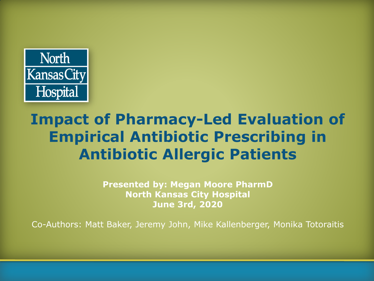

### **Impact of Pharmacy-Led Evaluation of Empirical Antibiotic Prescribing in Antibiotic Allergic Patients**

**Presented by: Megan Moore PharmD North Kansas City Hospital June 3rd, 2020**

Co-Authors: Matt Baker, Jeremy John, Mike Kallenberger, Monika Totoraitis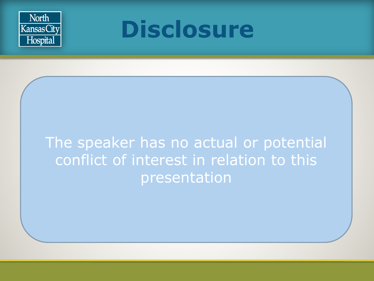



### The speaker has no actual or potential conflict of interest in relation to this presentation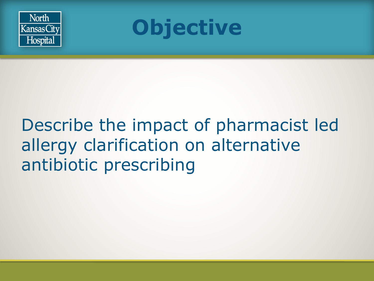



### Describe the impact of pharmacist led allergy clarification on alternative antibiotic prescribing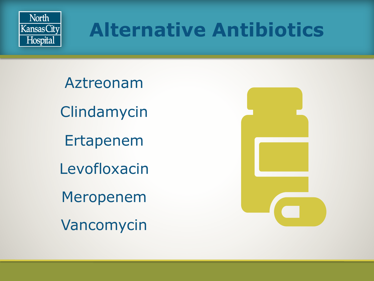

## **Alternative Antibiotics**

Aztreonam Clindamycin Ertapenem Levofloxacin Meropenem Vancomycin

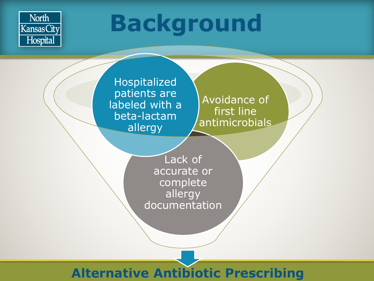![](_page_4_Picture_0.jpeg)

# **Background**

Hospitalized patients are labeled with a beta-lactam allergy

Avoidance of first line antimicrobials

Lack of accurate or complete allergy documentation

### **Alternative Antibiotic Prescribing**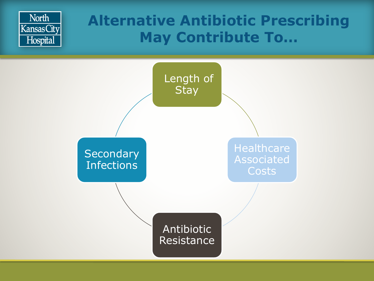![](_page_5_Figure_0.jpeg)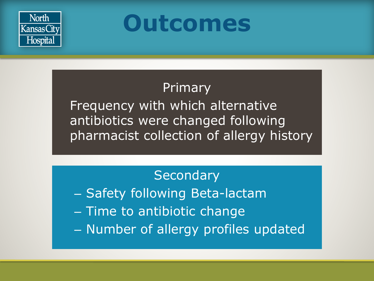![](_page_6_Picture_0.jpeg)

**Outcomes**

### Primary

Frequency with which alternative antibiotics were changed following pharmacist collection of allergy history

**Secondary** – Safety following Beta-lactam – Time to antibiotic change – Number of allergy profiles updated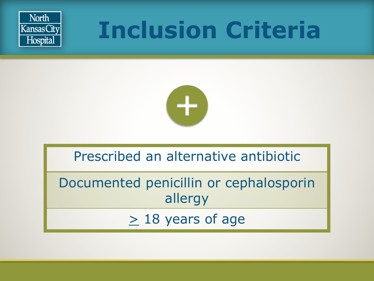![](_page_7_Picture_0.jpeg)

# **Inclusion Criteria**

![](_page_7_Picture_2.jpeg)

### Prescribed an alternative antibiotic

Documented penicillin or cephalosporin allergy

 $\geq$  18 years of age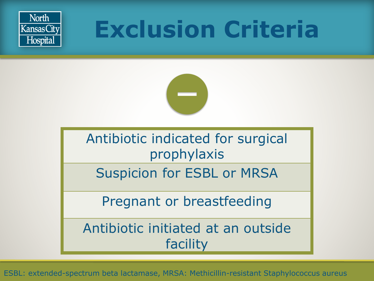![](_page_8_Picture_0.jpeg)

# **Exclusion Criteria**

![](_page_8_Picture_2.jpeg)

Antibiotic indicated for surgical prophylaxis

Suspicion for ESBL or MRSA

Pregnant or breastfeeding

Antibiotic initiated at an outside facility

ESBL: extended-spectrum beta lactamase, MRSA: Methicillin-resistant Staphylococcus aureus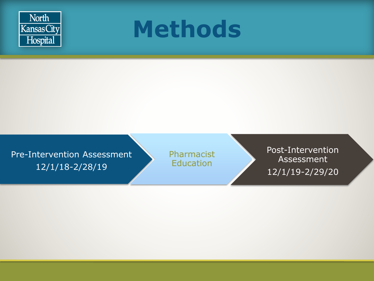![](_page_9_Picture_0.jpeg)

![](_page_9_Picture_1.jpeg)

Pre-Intervention Assessment 12/1/18-2/28/19

Pharmacist **Education** 

Post-Intervention Assessment 12/1/19-2/29/20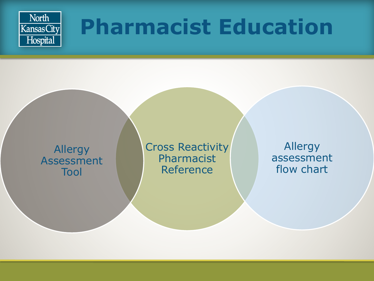![](_page_10_Picture_0.jpeg)

## **Pharmacist Education**

![](_page_10_Figure_2.jpeg)

Cross Reactivity Pharmacist Reference

Allergy assessment flow chart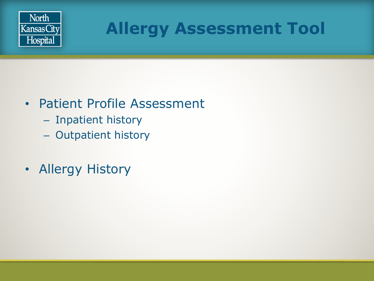![](_page_11_Picture_0.jpeg)

### **Allergy Assessment Tool**

### • Patient Profile Assessment

- Inpatient history
- Outpatient history
- Allergy History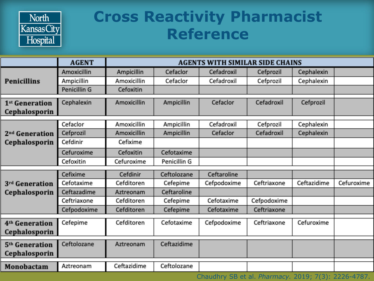![](_page_12_Picture_0.jpeg)

### **Cross Reactivity Pharmacist Reference**

|                                             | <b>AGENT</b> | <b>AGENTS WITH SIMILAR SIDE CHAINS</b> |              |                                                     |             |                         |            |
|---------------------------------------------|--------------|----------------------------------------|--------------|-----------------------------------------------------|-------------|-------------------------|------------|
| <b>Penicillins</b>                          | Amoxicillin  | Ampicillin                             | Cefaclor     | Cefadroxil                                          | Cefprozil   | Cephalexin              |            |
|                                             | Ampicillin   | Amoxicillin                            | Cefaclor     | Cefadroxil                                          | Cefprozil   | Cephalexin              |            |
|                                             | Penicillin G | Cefoxitin                              |              |                                                     |             |                         |            |
| 1 <sup>st</sup> Generation<br>Cephalosporin | Cephalexin   | Amoxicillin                            | Ampicillin   | Cefaclor                                            | Cefadroxil  | Cefprozil               |            |
|                                             | Cefaclor     | Amoxicillin                            | Ampicillin   | Cefadroxil                                          | Cefprozil   | Cephalexin              |            |
| 2 <sup>nd</sup> Generation                  | Cefprozil    | Amoxicillin                            | Ampicillin   | Cefaclor                                            | Cefadroxil  | Cephalexin              |            |
| Cephalosporin                               | Cefdinir     | Cefixime                               |              |                                                     |             |                         |            |
|                                             | Cefuroxime   | Cefoxitin                              | Cefotaxime   |                                                     |             |                         |            |
|                                             | Cefoxitin    | Cefuroxime                             | Penicillin G |                                                     |             |                         |            |
|                                             | Cefixime     | Cefdinir                               | Ceftolozane  | Ceftaroline                                         |             |                         |            |
| 3 <sup>rd</sup> Generation<br>Cephalosporin | Cefotaxime   | Cefditoren                             | Cefepime     | Cefpodoxime                                         | Ceftriaxone | Ceftazidime             | Cefuroxime |
|                                             | Ceftazadime  | Aztreonam                              | Ceftaroline  |                                                     |             |                         |            |
|                                             | Ceftriaxone  | Cefditoren                             | Cefepime     | Cefotaxime                                          | Cefpodoxime |                         |            |
|                                             | Cefpodoxime  | Cefditoren                             | Cefepime     | Cefotaxime                                          | Ceftriaxone |                         |            |
| 4 <sup>th</sup> Generation                  | Cefepime     | Cefditoren                             | Cefotaxime   | Cefpodoxime                                         | Ceftriaxone | Cefuroxime              |            |
| Cephalosporin                               |              |                                        |              |                                                     |             |                         |            |
|                                             |              |                                        |              |                                                     |             |                         |            |
| 5 <sup>th</sup> Generation                  | Ceftolozane  | Aztreonam                              | Ceftazidime  |                                                     |             |                         |            |
| Cephalosporin                               |              |                                        |              |                                                     |             |                         |            |
| Monobactam                                  | Aztreonam    | Ceftazidime                            | Ceftolozane  |                                                     |             |                         |            |
|                                             |              |                                        |              | <b>CONTRACTOR</b><br>$CD = 1 + Dl$<br>$\sim$ $\sim$ |             | $2040 - 7(2) 2226 4707$ |            |

Chaudhry SB et al. *Pharmacy.* 2019; 7(3): 2226-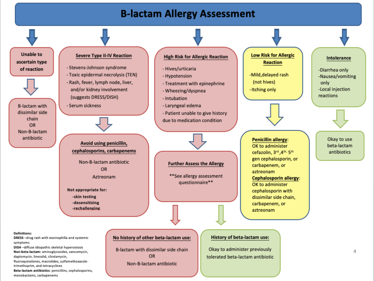#### **B-lactam Allergy Assessment**

![](_page_13_Figure_1.jpeg)

#### **Definitions:**

DRESS-drug rash with eosinophilia and systemic symptoms

DISH-diffuse idiopathic skeletal hyperostosis Non-beta-lactam: aminoglycosides, vancomycin, daptomycin, linezolid, clindamycin,

fluoroguinolones, macrolides, sulfamethoxazoletrimethoprim, and tetracyclines

Beta-lactam antibiotics: penicillins, cephalosporins, monobactams, carbapenems

#### No history of other beta-lactam use:

B-lactam with dissimilar side chain **OR** Non-B-lactam antibiotic

#### History of beta-lactam use:

Okay to administer previously tolerated beta-lactam antibiotic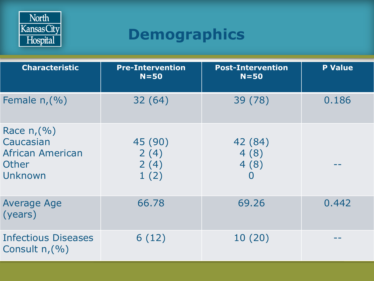![](_page_14_Picture_0.jpeg)

### **Demographics**

| <b>Characteristic</b>                                                   | <b>Pre-Intervention</b><br>$N = 50$ | <b>Post-Intervention</b><br>$N = 50$      | <b>P Value</b> |
|-------------------------------------------------------------------------|-------------------------------------|-------------------------------------------|----------------|
| Female $n,(% )$                                                         | 32(64)                              | 39 (78)                                   | 0.186          |
| Race $n(%)$<br>Caucasian<br><b>African American</b><br>Other<br>Unknown | 45 (90)<br>2(4)<br>2(4)<br>1(2)     | 42 (84)<br>4(8)<br>4(8)<br>$\overline{0}$ |                |
| <b>Average Age</b><br>(years)                                           | 66,78                               | 69.26                                     | 0.442          |
| <b>Infectious Diseases</b><br>Consult $n(%)$                            | 6(12)                               | 10(20)                                    |                |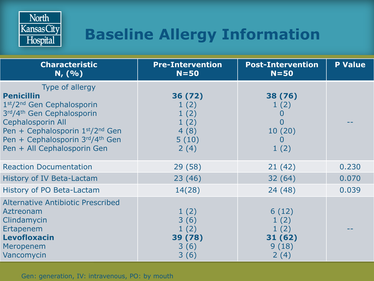![](_page_15_Picture_0.jpeg)

### **Baseline Allergy Information**

| <b>Characteristic</b><br>N, (%)                                                                                                                                                                                                 | <b>Pre-Intervention</b><br>$N = 50$                      | <b>Post-Intervention</b><br>$N = 50$                          | <b>P Value</b> |
|---------------------------------------------------------------------------------------------------------------------------------------------------------------------------------------------------------------------------------|----------------------------------------------------------|---------------------------------------------------------------|----------------|
| Type of allergy<br><b>Penicillin</b><br>1st/2nd Gen Cephalosporin<br>3rd/4th Gen Cephalosporin<br><b>Cephalosporin All</b><br>Pen + Cephalosporin 1st/2nd Gen<br>Pen + Cephalosporin 3rd/4th Gen<br>Pen + All Cephalosporin Gen | 36 (72)<br>1(2)<br>1(2)<br>1(2)<br>4(8)<br>5(10)<br>2(4) | 38 (76)<br>1(2)<br>O<br>$\overline{0}$<br>10(20)<br>O<br>1(2) |                |
| <b>Reaction Documentation</b>                                                                                                                                                                                                   | 29(58)                                                   | 21(42)                                                        | 0.230          |
| History of IV Beta-Lactam                                                                                                                                                                                                       | 23(46)                                                   | 32(64)                                                        | 0.070          |
| History of PO Beta-Lactam                                                                                                                                                                                                       | 14(28)                                                   | 24(48)                                                        | 0.039          |
| <b>Alternative Antibiotic Prescribed</b><br>Aztreonam<br>Clindamycin<br>Ertapenem<br><b>Levofloxacin</b><br>Meropenem<br>Vancomycin                                                                                             | 1(2)<br>3(6)<br>1(2)<br>39 (78)<br>3(6)<br>3(6)          | 6(12)<br>1(2)<br>1(2)<br>31 (62)<br>9(18)<br>2(4)             |                |

Gen: generation, IV: intravenous, PO: by mouth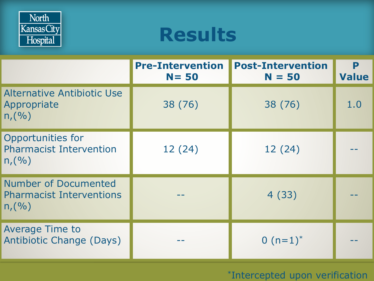![](_page_16_Picture_0.jpeg)

### **Results**

|                                                                         | <b>Pre-Intervention</b><br>$N = 50$ | <b>Post-Intervention</b><br>$N = 50$ | P<br><b>Value</b> |
|-------------------------------------------------------------------------|-------------------------------------|--------------------------------------|-------------------|
| Alternative Antibiotic Use<br>Appropriate<br>n,(%)                      | 38 (76)                             | 38 (76)                              | 1.0               |
| Opportunities for<br><b>Pharmacist Intervention</b><br>n,(%)            | 12(24)                              | 12 (24)                              |                   |
| <b>Number of Documented</b><br><b>Pharmacist Interventions</b><br>n,(%) |                                     | 4(33)                                |                   |
| <b>Average Time to</b><br><b>Antibiotic Change (Days)</b>               |                                     | 0 $(n=1)^*$                          |                   |

#### \*Intercepted upon verification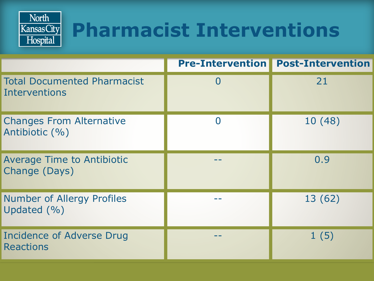![](_page_17_Picture_0.jpeg)

## **Pharmacist Interventions**

|                                                      | <b>Pre-Intervention   Post-Intervention</b> |
|------------------------------------------------------|---------------------------------------------|
| <b>Total Documented Pharmacist</b><br>Interventions  | 21                                          |
| <b>Changes From Alternative</b><br>Antibiotic (%)    | 10 (48)                                     |
| <b>Average Time to Antibiotic</b><br>Change (Days)   | 0.9                                         |
| <b>Number of Allergy Profiles</b><br>Updated $(\% )$ | 13 (62)                                     |
| Incidence of Adverse Drug<br><b>Reactions</b>        | 1(5)                                        |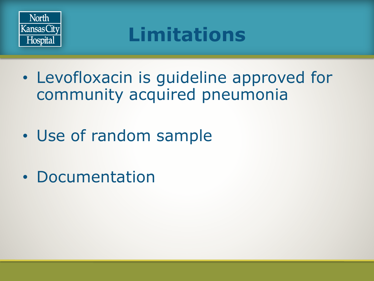![](_page_18_Picture_0.jpeg)

## **Limitations**

- Levofloxacin is guideline approved for community acquired pneumonia
- Use of random sample
- Documentation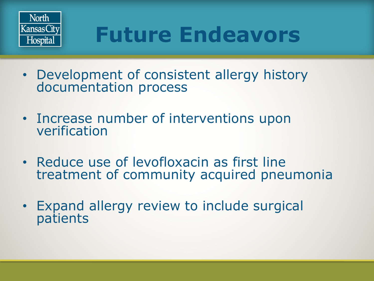![](_page_19_Picture_0.jpeg)

## **Future Endeavors**

- Development of consistent allergy history documentation process
- Increase number of interventions upon verification
- Reduce use of levofloxacin as first line treatment of community acquired pneumonia
- Expand allergy review to include surgical patients